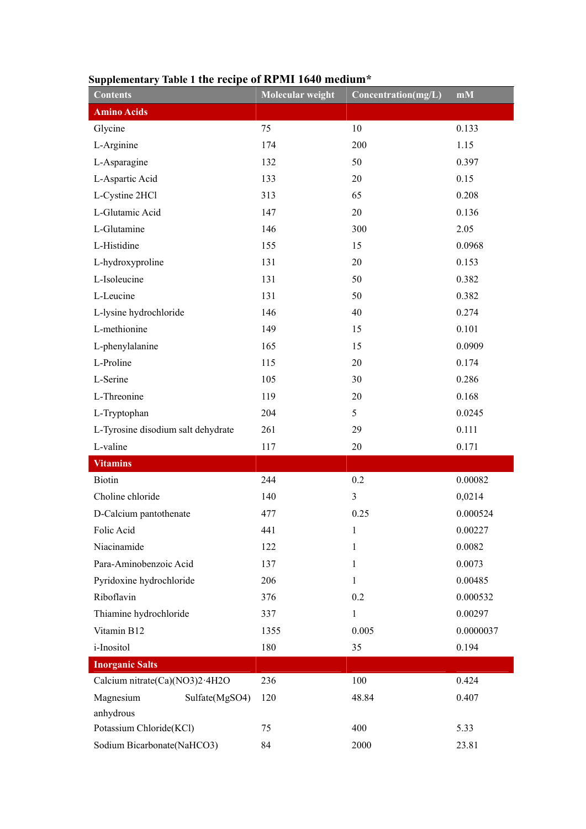| <b>Contents</b>                    | Molecular weight | Concentration(mg/L) | $\mathbf{m}\mathbf{M}$ |
|------------------------------------|------------------|---------------------|------------------------|
| <b>Amino Acids</b>                 |                  |                     |                        |
| Glycine                            | 75               | 10                  | 0.133                  |
| L-Arginine                         | 174              | 200                 | 1.15                   |
| L-Asparagine                       | 132              | 50                  | 0.397                  |
| L-Aspartic Acid                    | 133              | 20                  | 0.15                   |
| L-Cystine 2HCl                     | 313              | 65                  | 0.208                  |
| L-Glutamic Acid                    | 147              | 20                  | 0.136                  |
| L-Glutamine                        | 146              | 300                 | 2.05                   |
| L-Histidine                        | 155              | 15                  | 0.0968                 |
| L-hydroxyproline                   | 131              | 20                  | 0.153                  |
| L-Isoleucine                       | 131              | 50                  | 0.382                  |
| L-Leucine                          | 131              | 50                  | 0.382                  |
| L-lysine hydrochloride             | 146              | 40                  | 0.274                  |
| L-methionine                       | 149              | 15                  | 0.101                  |
| L-phenylalanine                    | 165              | 15                  | 0.0909                 |
| L-Proline                          | 115              | 20                  | 0.174                  |
| L-Serine                           | 105              | 30                  | 0.286                  |
| L-Threonine                        | 119              | 20                  | 0.168                  |
| L-Tryptophan                       | 204              | 5                   | 0.0245                 |
| L-Tyrosine disodium salt dehydrate | 261              | 29                  | 0.111                  |
| L-valine                           | 117              | 20                  | 0.171                  |
| <b>Vitamins</b>                    |                  |                     |                        |
| <b>Biotin</b>                      | 244              | 0.2                 | 0.00082                |
| Choline chloride                   | 140              | 3                   | 0,0214                 |
| D-Calcium pantothenate             | 477              | 0.25                | 0.000524               |
| Folic Acid                         | 441              | 1                   | 0.00227                |
| Niacinamide                        | 122              | 1                   | 0.0082                 |
| Para-Aminobenzoic Acid             | 137              | $\mathbf{1}$        | 0.0073                 |
| Pyridoxine hydrochloride           | 206              | $\mathbf{1}$        | 0.00485                |
| Riboflavin                         | 376              | 0.2                 | 0.000532               |
| Thiamine hydrochloride             | 337              | $\mathbf{1}$        | 0.00297                |
| Vitamin B12                        | 1355             | 0.005               | 0.0000037              |
| i-Inositol                         | 180              | 35                  | 0.194                  |
| <b>Inorganic Salts</b>             |                  |                     |                        |
| Calcium nitrate(Ca)(NO3)2.4H2O     | 236              | 100                 | 0.424                  |
| Magnesium<br>Sulfate(MgSO4)        | 120              | 48.84               | 0.407                  |
| anhydrous                          |                  |                     |                        |
| Potassium Chloride(KCl)            | 75               | 400                 | 5.33                   |
| Sodium Bicarbonate(NaHCO3)         | 84               | 2000                | 23.81                  |

## **Supplementary Table 1 the recipe of RPMI 1640 medium\***